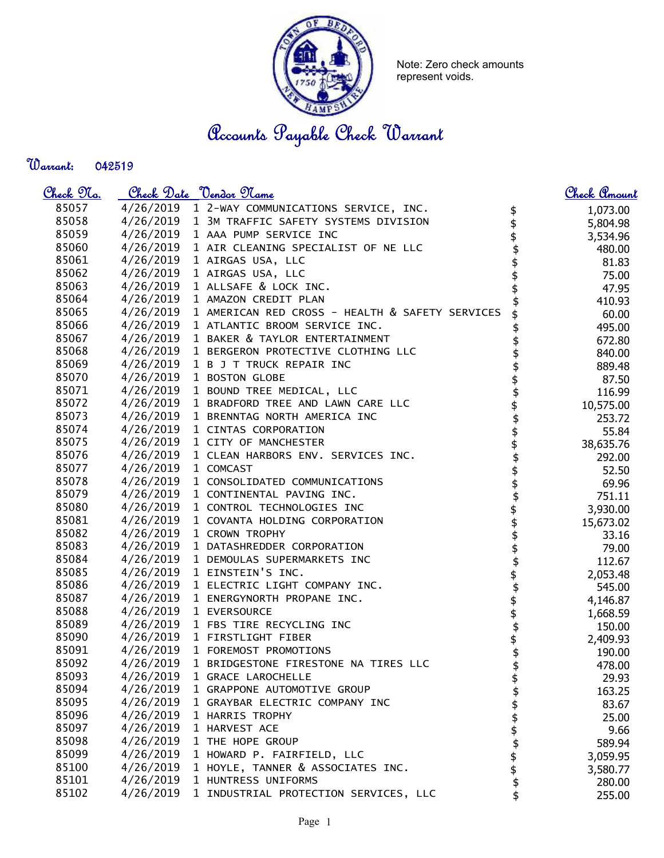

Note: Zero check amounts represent voids.

Accounts Payable Check Warrant

Warrant: 

| <u>Check 97a.</u> |           | <u>Check Date "Vendor Name</u>                  |                | <u>Check Amount</u> |
|-------------------|-----------|-------------------------------------------------|----------------|---------------------|
| 85057             |           | 4/26/2019 1 2-WAY COMMUNICATIONS SERVICE, INC.  | \$             | 1,073.00            |
| 85058             |           | 4/26/2019 1 3M TRAFFIC SAFETY SYSTEMS DIVISION  |                | 5,804.98            |
| 85059             |           | 4/26/2019 1 AAA PUMP SERVICE INC                |                | 3,534.96            |
| 85060             | 4/26/2019 | 1 AIR CLEANING SPECIALIST OF NE LLC             | \$             | 480.00              |
| 85061             | 4/26/2019 | 1 AIRGAS USA, LLC                               |                | 81.83               |
| 85062             | 4/26/2019 | 1 AIRGAS USA, LLC                               |                | 75.00               |
| 85063             | 4/26/2019 | 1 ALLSAFE & LOCK INC.                           |                | 47.95               |
| 85064             | 4/26/2019 | 1 AMAZON CREDIT PLAN                            |                | 410.93              |
| 85065             | 4/26/2019 | 1 AMERICAN RED CROSS - HEALTH & SAFETY SERVICES |                | 60.00               |
| 85066             |           | 4/26/2019 1 ATLANTIC BROOM SERVICE INC.         |                | 495.00              |
| 85067             |           | 4/26/2019 1 BAKER & TAYLOR ENTERTAINMENT        |                | 672.80              |
| 85068             |           | 4/26/2019 1 BERGERON PROTECTIVE CLOTHING LLC    |                | 840.00              |
| 85069             | 4/26/2019 | 1 B J T TRUCK REPAIR INC                        |                | 889.48              |
| 85070             | 4/26/2019 | 1 BOSTON GLOBE                                  |                | 87.50               |
| 85071             |           | 4/26/2019 1 BOUND TREE MEDICAL, LLC             | \$             | 116.99              |
| 85072             | 4/26/2019 | 1 BRADFORD TREE AND LAWN CARE LLC               | \$             | 10,575.00           |
| 85073             | 4/26/2019 | 1 BRENNTAG NORTH AMERICA INC                    |                | 253.72              |
| 85074             |           | 4/26/2019 1 CINTAS CORPORATION                  |                | 55.84               |
| 85075             | 4/26/2019 | 1 CITY OF MANCHESTER                            |                | 38,635.76           |
| 85076             | 4/26/2019 | 1 CLEAN HARBORS ENV. SERVICES INC.              |                | 292.00              |
| 85077             | 4/26/2019 | 1 COMCAST                                       |                | 52.50               |
| 85078             | 4/26/2019 | 1 CONSOLIDATED COMMUNICATIONS                   |                | 69.96               |
| 85079             | 4/26/2019 | 1 CONTINENTAL PAVING INC.                       | \$\$\$\$\$\$\$ | 751.11              |
| 85080             | 4/26/2019 | 1 CONTROL TECHNOLOGIES INC                      |                | 3,930.00            |
| 85081             | 4/26/2019 | 1 COVANTA HOLDING CORPORATION                   | \$\$\$\$       | 15,673.02           |
| 85082             | 4/26/2019 | 1 CROWN TROPHY                                  |                | 33.16               |
| 85083             | 4/26/2019 | 1 DATASHREDDER CORPORATION                      |                | 79.00               |
| 85084             |           | 4/26/2019 1 DEMOULAS SUPERMARKETS INC           |                | 112.67              |
| 85085             |           | 4/26/2019 1 EINSTEIN'S INC.                     | \$             | 2,053.48            |
| 85086             | 4/26/2019 | 1 ELECTRIC LIGHT COMPANY INC.                   | \$             | 545.00              |
| 85087             | 4/26/2019 | 1 ENERGYNORTH PROPANE INC.                      | \$             | 4,146.87            |
| 85088             | 4/26/2019 | 1 EVERSOURCE                                    |                | 1,668.59            |
| 85089             | 4/26/2019 | 1 FBS TIRE RECYCLING INC                        | \$             | 150.00              |
| 85090             |           | 4/26/2019 1 FIRSTLIGHT FIBER                    | \$             | 2,409.93            |
| 85091             |           | 4/26/2019 1 FOREMOST PROMOTIONS                 | \$             | 190.00              |
| 85092             | 4/26/2019 | 1 BRIDGESTONE FIRESTONE NA TIRES LLC            | \$             | 478.00              |
| 85093             | 4/26/2019 | 1 GRACE LAROCHELLE                              | \$             | 29.93               |
| 85094             | 4/26/2019 | 1 GRAPPONE AUTOMOTIVE GROUP                     |                | 163.25              |
| 85095             | 4/26/2019 | 1 GRAYBAR ELECTRIC COMPANY INC                  | \$\$\$\$\$     | 83.67               |
| 85096             | 4/26/2019 | 1 HARRIS TROPHY                                 |                | 25.00               |
| 85097             | 4/26/2019 | 1 HARVEST ACE                                   |                | 9.66                |
| 85098             | 4/26/2019 | 1 THE HOPE GROUP                                |                | 589.94              |
| 85099             | 4/26/2019 | 1 HOWARD P. FAIRFIELD, LLC                      |                | 3,059.95            |
| 85100             | 4/26/2019 | 1 HOYLE, TANNER & ASSOCIATES INC.               |                | 3,580.77            |
| 85101             | 4/26/2019 | 1 HUNTRESS UNIFORMS                             | \$             | 280.00              |
| 85102             | 4/26/2019 | 1 INDUSTRIAL PROTECTION SERVICES, LLC           | \$             | 255.00              |